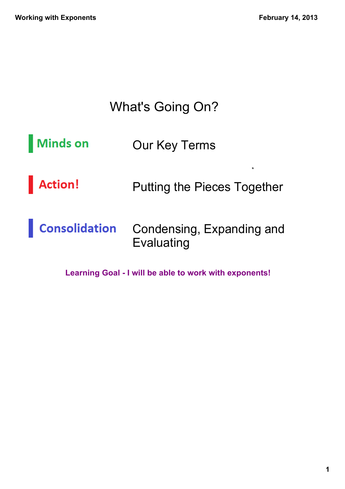### What's Going On?

- **Minds on** Our Key Terms
- **Action!** Putting the Pieces Together
- **Consolidation** Condensing, Expanding and Evaluating

Learning Goal - I will be able to work with exponents!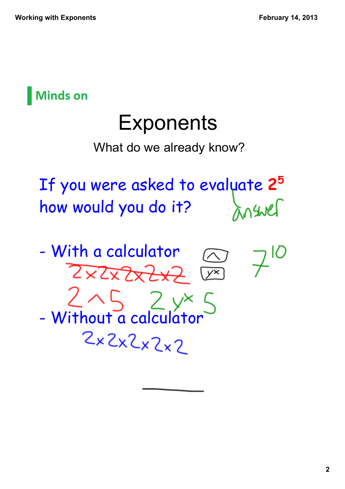

# **Exponents**

What do we already know?

If you were asked to evaluate **<sup>2</sup><sup>5</sup>** how would you do it?

- With a calculator ZXIXZXZXZ

 $-$  Without a calculator

 $2x2x2x2x2$ 



 $(x^{\times})$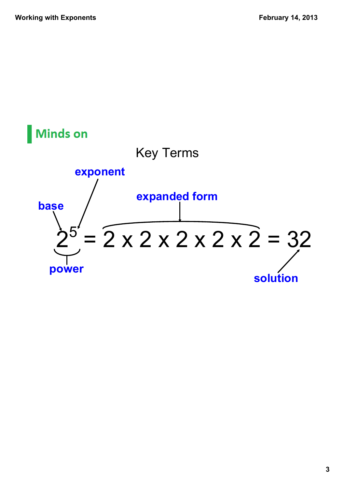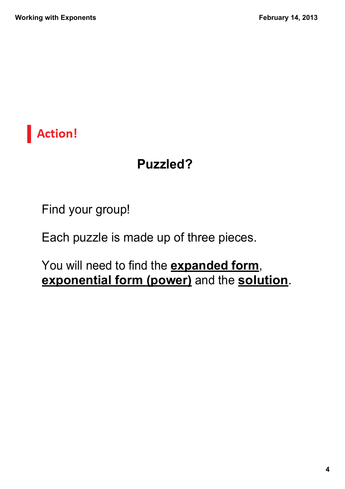

### **Puzzled?**

Find your group!

Each puzzle is made up of three pieces.

You will need to find the **expanded form**, **exponential form (power)** and the **solution**.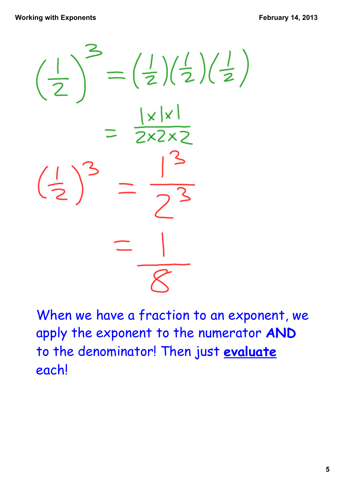

When we have a fraction to an exponent, we apply the exponent to the numerator **AND** to the denominator! Then just **evaluate** each!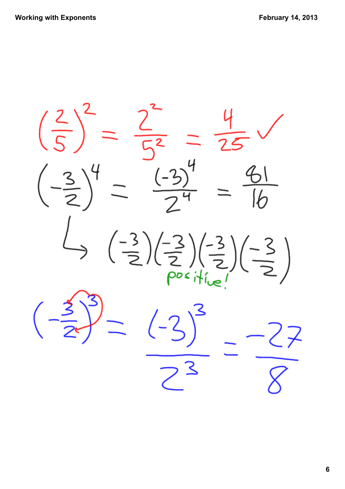$\left(\frac{2}{5}\right)^2$  =  $\frac{2}{\sqrt{2}}$  $\overline{25}$  $\frac{3}{2}$  $(-3)^{7}$  $\left(\frac{-3}{2}\right)\left(\frac{-3}{2}\right)\left(\frac{3}{2}\right)$  $\frac{1}{2}$  $\left(\frac{-3}{2}\right)$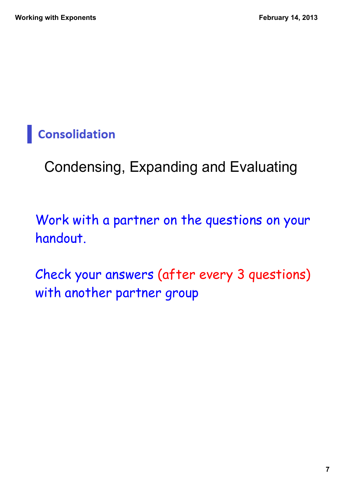## **Consolidation**

# Condensing, Expanding and Evaluating

### Work with a partner on the questions on your handout.

Check your answers (after every 3 questions) with another partner group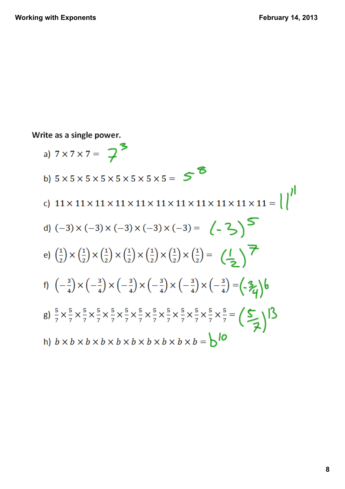Write as a single power.

a)  $7 \times 7 \times 7 = 7^5$ b)  $5 \times 5 \times 5 \times 5 \times 5 \times 5 \times 5 =$  5 d)  $(-3) \times (-3) \times (-3) \times (-3) \times (-3) = (-3)$ e)  $\left(\frac{1}{2}\right) \times \left(\frac{1}{2}\right) \times \left(\frac{1}{2}\right) \times \left(\frac{1}{2}\right) \times \left(\frac{1}{2}\right) \times \left(\frac{1}{2}\right) \times \left(\frac{1}{2}\right) =$   $\left(\frac{1}{2}\right)$ f)  $\left(-\frac{3}{4}\right) \times \left(-\frac{3}{4}\right) \times \left(-\frac{3}{4}\right) \times \left(-\frac{3}{4}\right) \times \left(-\frac{3}{4}\right) \times \left(-\frac{3}{4}\right) = \left(-\frac{3}{4}\right) \times \left(-\frac{3}{4}\right)$ g)  $\frac{5}{7} \times \frac{5}{7} \times \frac{5}{7} \times \frac{5}{7} \times \frac{5}{7} \times \frac{5}{7} \times \frac{5}{7} \times \frac{5}{7} \times \frac{5}{7} \times \frac{5}{7} \times \frac{5}{7} \times \frac{5}{7} = \left(\sum_{i=1}^{5} \right)^2$ h)  $b \times b \times b \times b \times b \times b \times b \times b \times b \times b = 0$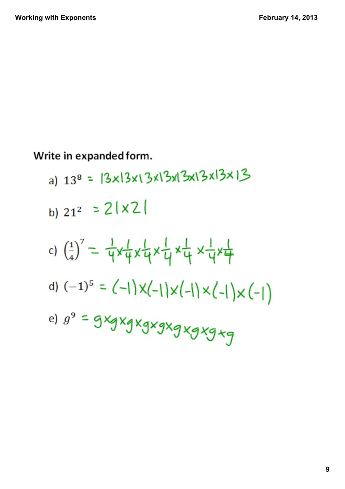Write in expanded form.

- a)  $13^8$  =  $|3 \times 13 \times 13 \times 13 \times 13 \times 13 \times 13$
- b)  $21^2$  =  $2|x2|$
- c)  $\left(\frac{1}{4}\right)^7 = \frac{1}{4}x\frac{1}{4}x\frac{1}{4}x\frac{1}{4}x\frac{1}{4}x\frac{1}{4}x\frac{1}{4}x\frac{1}{4}$
- d)  $(-1)^5 = (-1) \times (-1) \times (-1) \times (-1) \times (-1)$
- e)  $g^9$  = gxgxgxgxgxgxgxg+g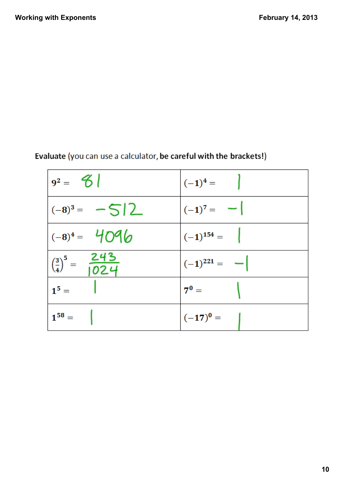| $ 9^2 = 3^2$                                    | $(-1)^4 =$        |
|-------------------------------------------------|-------------------|
| $ (-8)^3 = -5 2$                                | $(-1)^7 = -$      |
| $ (-8)^4 = 4096$                                | $ (-1)^{154} =  $ |
| $\left(\frac{3}{4}\right)^5 = \frac{243}{1024}$ | $(-1)^{221} = -$  |
| $1^5 =$                                         | $7^{\circ} =$     |
| $1^{58} =$                                      | $(-17)^0 =$       |

#### Evaluate (you can use a calculator, be careful with the brackets!)